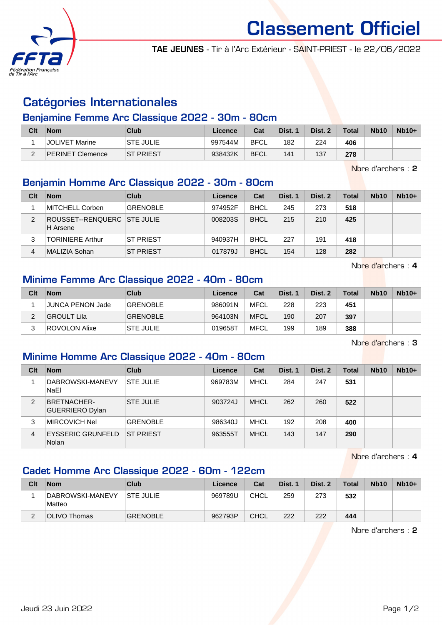

Classement Officiel

TAE JEUNES - Tir à l'Arc Extérieur - SAINT-PRIEST - le 22/06/2022

# Catégories Internationales

### Benjamine Femme Arc Classique 2022 - 30m - 80cm

| Clt | <b>Nom</b>              | <b>Club</b>       | Licence | Cat         | Dist. 1 | Dist. 2 | <b>Total</b> | <b>Nb10</b> | $Nb10+$ |
|-----|-------------------------|-------------------|---------|-------------|---------|---------|--------------|-------------|---------|
|     | JOLIVET Marine          | <b>STE JULIE</b>  | 997544M | <b>BFCL</b> | 182     | 224     | 406          |             |         |
| C   | <b>PERINET Clemence</b> | <b>IST PRIEST</b> | 938432K | <b>BFCL</b> | 141     | 137     | 278          |             |         |

Nbre d'archers : 2

## Benjamin Homme Arc Classique 2022 - 30m - 80cm

| Clt | <b>Nom</b>                              | Club             | Licence | Cat         | Dist. 1 | Dist. 2 | Total | <b>Nb10</b> | $Nb10+$ |
|-----|-----------------------------------------|------------------|---------|-------------|---------|---------|-------|-------------|---------|
|     | <b>MITCHELL Corben</b>                  | <b>GRENOBLE</b>  | 974952F | <b>BHCL</b> | 245     | 273     | 518   |             |         |
| 2   | ROUSSET--RENQUERC STE JULIE<br>H Arsene |                  | 008203S | <b>BHCL</b> | 215     | 210     | 425   |             |         |
| 3   | <b>TORINIERE Arthur</b>                 | <b>ST PRIEST</b> | 940937H | <b>BHCL</b> | 227     | 191     | 418   |             |         |
| 4   | MALIZIA Sohan                           | <b>ST PRIEST</b> | 017879J | <b>BHCL</b> | 154     | 128     | 282   |             |         |

Nbre d'archers : 4

## Minime Femme Arc Classique 2022 - 40m - 80cm

| Clt | <b>Nom</b>       | Club             | Licence | Cat         | Dist. 1 | Dist. 2 | <b>Total</b> | Nb <sub>10</sub> | $Nb10+$ |
|-----|------------------|------------------|---------|-------------|---------|---------|--------------|------------------|---------|
|     | JUNCA PENON Jade | <b>GRENOBLE</b>  | 986091N | <b>MFCL</b> | 228     | 223     | 451          |                  |         |
|     | GROULT Lila      | <b>GRENOBLE</b>  | 964103N | <b>MFCL</b> | 190     | 207     | 397          |                  |         |
|     | ROVOLON Alixe    | <b>STE JULIE</b> | 019658T | MFCL        | 199     | 189     | 388          |                  |         |

Nbre d'archers : 3

## Minime Homme Arc Classique 2022 - 40m - 80cm

| Clt | <b>Nom</b>                                   | Club             | Licence | Cat         | Dist. 1 | Dist. 2 | <b>Total</b> | <b>Nb10</b> | $Nb10+$ |
|-----|----------------------------------------------|------------------|---------|-------------|---------|---------|--------------|-------------|---------|
|     | DABROWSKI-MANEVY<br>NaËI                     | <b>STE JULIE</b> | 969783M | MHCL        | 284     | 247     | 531          |             |         |
| 2   | <b>BRETNACHER-</b><br><b>GUERRIERO Dylan</b> | <b>STE JULIE</b> | 903724J | <b>MHCL</b> | 262     | 260     | 522          |             |         |
| 3   | <b>MIRCOVICH Nel</b>                         | <b>GRENOBLE</b>  | 986340J | MHCL        | 192     | 208     | 400          |             |         |
| 4   | EYSSERIC GRUNFELD<br>Nolan                   | <b>ST PRIEST</b> | 963555T | <b>MHCL</b> | 143     | 147     | 290          |             |         |

Nbre d'archers : 4

## Cadet Homme Arc Classique 2022 - 60m - 122cm

| Clt | <b>Nom</b>                 | Club             | Licence | Cat         | Dist. 1 | Dist. 2 | <b>Total</b> | <b>Nb10</b> | $Nb10+$ |
|-----|----------------------------|------------------|---------|-------------|---------|---------|--------------|-------------|---------|
|     | DABROWSKI-MANEVY<br>Matteo | <b>STE JULIE</b> | 969789U | CHCL        | 259     | 273     | 532          |             |         |
|     | OLIVO Thomas               | <b>GRENOBLE</b>  | 962793P | <b>CHCL</b> | 222     | 222     | 444          |             |         |

Nbre d'archers : 2